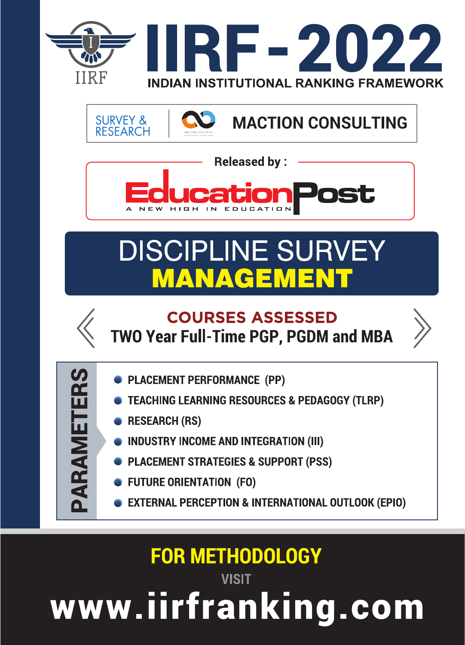



**Released by:** 

ation

# **DISCIPLINE SURVEY MANAGEMEN**



### **COURSES ASSESSED TWO Year Full-Time PGP, PGDM and MBA**



PARAMETER

- **PLACEMENT PERFORMANCE (PP)**
- **TEACHING LEARNING RESOURCES & PEDAGOGY (TLRP)**
- **RESEARCH (RS)**
- **INDUSTRY INCOME AND INTEGRATION (III)**
- **PLACEMENT STRATEGIES & SUPPORT (PSS)**
- **FUTURE ORIENTATION (FO)**
- **EXTERNAL PERCEPTION & INTERNATIONAL OUTLOOK (EPIO)**

## **FOR METHODOLOGY**

**VISIT** www.iirfranking.com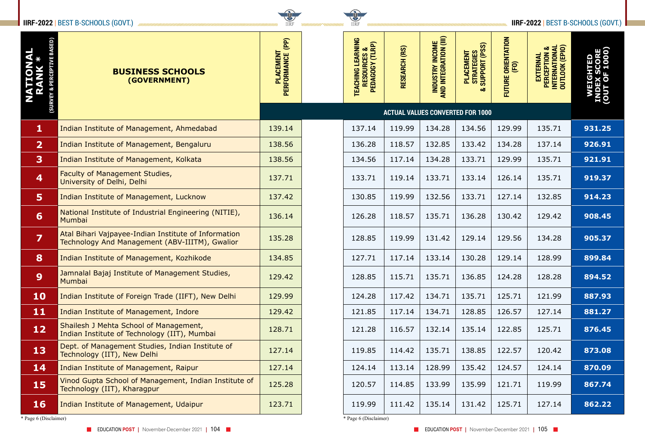

| <b>IIRF-2022   BEST B-SCHOOLS (GOVT.)</b> |                                                                                                        |                                         |  | <b>IIRF</b>                                                     |                      | <b>IIRF-2022   BEST B-SCHOOLS (GOVT.)  </b> |                                               |                                        |                                                                         |                                         |  |  |
|-------------------------------------------|--------------------------------------------------------------------------------------------------------|-----------------------------------------|--|-----------------------------------------------------------------|----------------------|---------------------------------------------|-----------------------------------------------|----------------------------------------|-------------------------------------------------------------------------|-----------------------------------------|--|--|
| NAL<br>C *                                | <b>BUSINESS SCHOOLS</b><br>(GOVERNMENT)                                                                | (PP)<br>PLACEMENT<br>PERFORMANCE (      |  | LEARNING<br>TEACHING LEARNING<br>Resources &<br>Pedagogy (TLRP) | <b>RESEARCH (RS)</b> | INDUSTRY INCOME<br>AND INTEGRATION (III)    | PLACEMENT<br>Strategies<br>Support (PSS)<br>ಹ | : ORIENTATION<br>(FO)<br><b>FUTURE</b> | <b>PERCEPTION &amp;<br/>INTERNATIONAL</b><br>OUTLOOK (EPIO)<br>EXTERNAL | မ္ ခြ<br>▥ㅇŏ<br>$\times$ O<br><u>ia</u> |  |  |
|                                           |                                                                                                        | <b>ACTUAL VALUES CONVERTED FOR 1000</b> |  |                                                                 |                      |                                             |                                               |                                        |                                                                         |                                         |  |  |
| $\mathbf{1}$                              | Indian Institute of Management, Ahmedabad                                                              | 139.14                                  |  | 137.14                                                          | 119.99               | 134.28                                      | 134.56                                        | 129.99                                 | 135.71                                                                  | 931.25                                  |  |  |
| $\overline{2}$                            | Indian Institute of Management, Bengaluru                                                              | 138.56                                  |  | 136.28                                                          | 118.57               | 132.85                                      | 133.42                                        | 134.28                                 | 137.14                                                                  | 926.91                                  |  |  |
| $\overline{\mathbf{3}}$                   | Indian Institute of Management, Kolkata                                                                | 138.56                                  |  | 134.56                                                          | 117.14               | 134.28                                      | 133.71                                        | 129.99                                 | 135.71                                                                  | 921.91                                  |  |  |
| $\overline{4}$                            | Faculty of Management Studies,<br>University of Delhi, Delhi                                           | 137.71                                  |  | 133.71                                                          | 119.14               | 133.71                                      | 133.14                                        | 126.14                                 | 135.71                                                                  | 919.37                                  |  |  |
| 5                                         | Indian Institute of Management, Lucknow                                                                | 137.42                                  |  | 130.85                                                          | 119.99               | 132.56                                      | 133.71                                        | 127.14                                 | 132.85                                                                  | 914.23                                  |  |  |
| 6                                         | National Institute of Industrial Engineering (NITIE),<br>Mumbai                                        | 136.14                                  |  | 126.28                                                          | 118.57               | 135.71                                      | 136.28                                        | 130.42                                 | 129.42                                                                  | 908.45                                  |  |  |
| $\overline{\mathbf{z}}$                   | Atal Bihari Vajpayee-Indian Institute of Information<br>Technology And Management (ABV-IIITM), Gwalior | 135.28                                  |  | 128.85                                                          | 119.99               | 131.42                                      | 129.14                                        | 129.56                                 | 134.28                                                                  | 905.37                                  |  |  |
| 8                                         | Indian Institute of Management, Kozhikode                                                              | 134.85                                  |  | 127.71                                                          | 117.14               | 133.14                                      | 130.28                                        | 129.14                                 | 128.99                                                                  | 899.84                                  |  |  |
| 9                                         | Jamnalal Bajaj Institute of Management Studies,<br>Mumbai                                              | 129.42                                  |  | 128.85                                                          | 115.71               | 135.71                                      | 136.85                                        | 124.28                                 | 128.28                                                                  | 894.52                                  |  |  |
| <b>10</b>                                 | Indian Institute of Foreign Trade (IIFT), New Delhi                                                    | 129.99                                  |  | 124.28                                                          | 117.42               | 134.71                                      | 135.71                                        | 125.71                                 | 121.99                                                                  | 887.93                                  |  |  |
| 11                                        | Indian Institute of Management, Indore                                                                 | 129.42                                  |  | 121.85                                                          | 117.14               | 134.71                                      | 128.85                                        | 126.57                                 | 127.14                                                                  | 881.27                                  |  |  |
| 12                                        | Shailesh J Mehta School of Management,<br>Indian Institute of Technology (IIT), Mumbai                 | 128.71                                  |  | 121.28                                                          | 116.57               | 132.14                                      | 135.14                                        | 122.85                                 | 125.71                                                                  | 876.45                                  |  |  |
| 13                                        | Dept. of Management Studies, Indian Institute of<br>Technology (IIT), New Delhi                        | 127.14                                  |  | 119.85                                                          | 114.42               | 135.71                                      | 138.85                                        | 122.57                                 | 120.42                                                                  | 873.08                                  |  |  |
| 14                                        | Indian Institute of Management, Raipur                                                                 | 127.14                                  |  | 124.14                                                          | 113.14               | 128.99                                      | 135.42                                        | 124.57                                 | 124.14                                                                  | 870.09                                  |  |  |
| 15                                        | Vinod Gupta School of Management, Indian Institute of<br>Technology (IIT), Kharagpur                   | 125.28                                  |  | 120.57                                                          | 114.85               | 133.99                                      | 135.99                                        | 121.71                                 | 119.99                                                                  | 867.74                                  |  |  |
| <b>16</b>                                 | Indian Institute of Management, Udaipur                                                                | 123.71                                  |  | 119.99                                                          | 111.42               | 135.14                                      | 131.42                                        | 125.71                                 | 127.14                                                                  | 862.22                                  |  |  |
| * Page 6 (Disclaimer)                     |                                                                                                        |                                         |  | * Page 6 (Disclaimer)                                           |                      |                                             |                                               |                                        |                                                                         |                                         |  |  |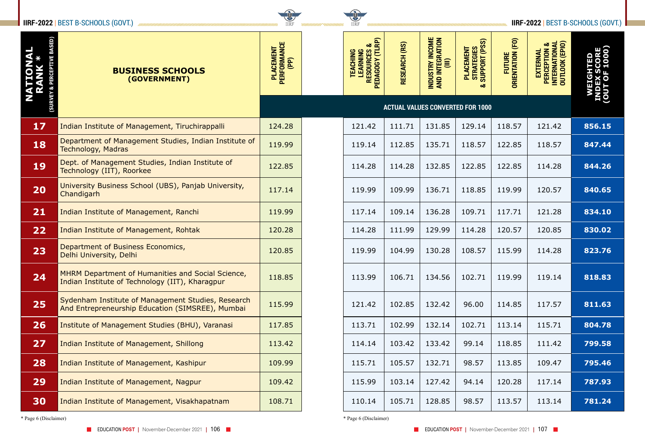

|                          | <b>IIRF-2022   BEST B-SCHOOLS (GOVT.)</b>                                                              | <b>THEF</b>                             |  | <b>CONTROL</b><br><b>IIRF</b>                                         |               |                                                       | <b>IIRF-2022   BEST B-SCHOOLS (GOVT.)  </b> |                            |                                                             |        |  |
|--------------------------|--------------------------------------------------------------------------------------------------------|-----------------------------------------|--|-----------------------------------------------------------------------|---------------|-------------------------------------------------------|---------------------------------------------|----------------------------|-------------------------------------------------------------|--------|--|
| <b>NATIONAL</b><br>RANK* | <b>BUSINESS SCHOOLS</b><br>(GOVERNMENT)                                                                | PLACEMENT<br>PERFORMANCE<br>(PP)        |  | TEACHING<br>Learning<br>Resources &<br>Resources &<br>Pedagogy (Tlrp) | RESEARCH (RS) | <b>INDUSTRY INCOME</b><br>AND INTEGRATION<br>$\equiv$ | PLACEMENT<br>Strategies<br>Support (PSS)    | FUTURE<br>ORIENTATION (FO) | PERCEPTION &<br>INTERNATIONAL<br>OUTLOOK (EPIO)<br>EXTERNAL | G<br>围 |  |
|                          |                                                                                                        | <b>ACTUAL VALUES CONVERTED FOR 1000</b> |  |                                                                       |               |                                                       |                                             |                            |                                                             |        |  |
| 17                       | Indian Institute of Management, Tiruchirappalli                                                        | 124.28                                  |  | 121.42                                                                | 111.71        | 131.85                                                | 129.14                                      | 118.57                     | 121.42                                                      | 856.15 |  |
| 18                       | Department of Management Studies, Indian Institute of<br><b>Technology, Madras</b>                     | 119.99                                  |  | 119.14                                                                | 112.85        | 135.71                                                | 118.57                                      | 122.85                     | 118.57                                                      | 847.44 |  |
| 19                       | Dept. of Management Studies, Indian Institute of<br>Technology (IIT), Roorkee                          | 122.85                                  |  | 114.28                                                                | 114.28        | 132.85                                                | 122.85                                      | 122.85                     | 114.28                                                      | 844.26 |  |
| 20                       | University Business School (UBS), Panjab University,<br>Chandigarh                                     | 117.14                                  |  | 119.99                                                                | 109.99        | 136.71                                                | 118.85                                      | 119.99                     | 120.57                                                      | 840.65 |  |
| 21                       | Indian Institute of Management, Ranchi                                                                 | 119.99                                  |  | 117.14                                                                | 109.14        | 136.28                                                | 109.71                                      | 117.71                     | 121.28                                                      | 834.10 |  |
| 22                       | Indian Institute of Management, Rohtak                                                                 | 120.28                                  |  | 114.28                                                                | 111.99        | 129.99                                                | 114.28                                      | 120.57                     | 120.85                                                      | 830.02 |  |
| 23                       | Department of Business Economics,<br>Delhi University, Delhi                                           | 120.85                                  |  | 119.99                                                                | 104.99        | 130.28                                                | 108.57                                      | 115.99                     | 114.28                                                      | 823.76 |  |
| 24                       | MHRM Department of Humanities and Social Science,<br>Indian Institute of Technology (IIT), Kharagpur   | 118.85                                  |  | 113.99                                                                | 106.71        | 134.56                                                | 102.71                                      | 119.99                     | 119.14                                                      | 818.83 |  |
| 25                       | Sydenham Institute of Management Studies, Research<br>And Entrepreneurship Education (SIMSREE), Mumbai | 115.99                                  |  | 121.42                                                                | 102.85        | 132.42                                                | 96.00                                       | 114.85                     | 117.57                                                      | 811.63 |  |
| 26                       | Institute of Management Studies (BHU), Varanasi                                                        | 117.85                                  |  | 113.71                                                                | 102.99        | 132.14                                                | 102.71                                      | 113.14                     | 115.71                                                      | 804.78 |  |
| 27                       | Indian Institute of Management, Shillong                                                               | 113.42                                  |  | 114.14                                                                | 103.42        | 133.42                                                | 99.14                                       | 118.85                     | 111.42                                                      | 799.58 |  |
| 28                       | Indian Institute of Management, Kashipur                                                               | 109.99                                  |  | 115.71                                                                | 105.57        | 132.71                                                | 98.57                                       | 113.85                     | 109.47                                                      | 795.46 |  |
| 29                       | Indian Institute of Management, Nagpur                                                                 | 109.42                                  |  | 115.99                                                                | 103.14        | 127.42                                                | 94.14                                       | 120.28                     | 117.14                                                      | 787.93 |  |
| 30                       | Indian Institute of Management, Visakhapatnam                                                          | 108.71                                  |  | 110.14                                                                | 105.71        | 128.85                                                | 98.57                                       | 113.57                     | 113.14                                                      | 781.24 |  |

\* Page 6 (Disclaimer) \* Page 6 (Disclaimer)